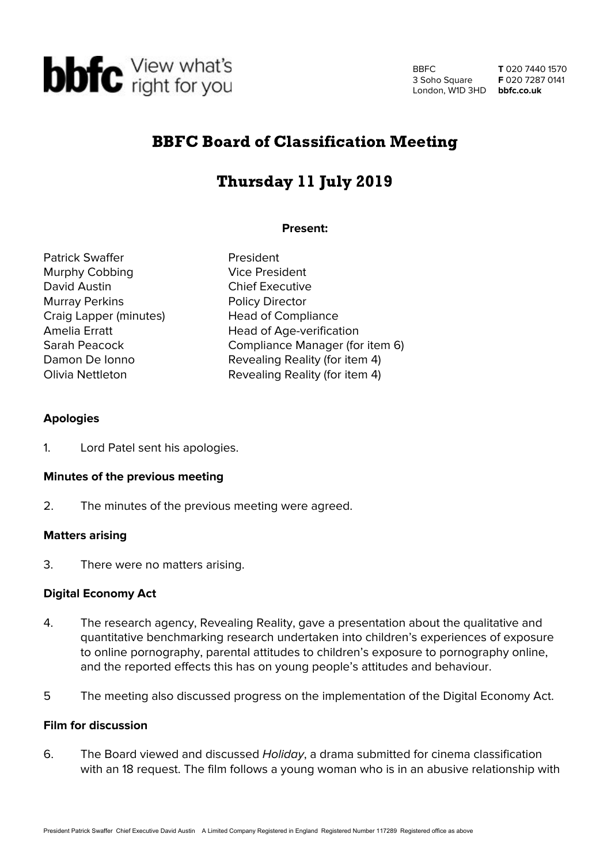

BBFC 3 Soho Square London, W1D 3HD **bbfc.co.uk**

**T** 020 7440 1570 **F** 020 7287 0141

# BBFC Board of Classification Meeting

# Thursday 11 July 2019

# **Present:**

Patrick Swaffer **President** Murphy Cobbing Vice President David Austin **Chief Executive** Murray Perkins **Policy Director** Craig Lapper (minutes) Head of Compliance Amelia Erratt **Head of Age-verification** 

Sarah Peacock Compliance Manager (for item 6) Damon De Ionno Revealing Reality (for item 4) Olivia Nettleton Revealing Reality (for item 4)

# **Apologies**

1. Lord Patel sent his apologies.

#### **Minutes of the previous meeting**

2. The minutes of the previous meeting were agreed.

# **Matters arising**

3. There were no matters arising.

# **Digital Economy Act**

- 4. The research agency, Revealing Reality, gave a presentation about the qualitative and quantitative benchmarking research undertaken into children's experiences of exposure to online pornography, parental attitudes to children's exposure to pornography online, and the reported effects this has on young people's attitudes and behaviour.
- 5 The meeting also discussed progress on the implementation of the Digital Economy Act.

#### **Film for discussion**

6. The Board viewed and discussed Holiday, a drama submitted for cinema classification with an 18 request. The film follows a young woman who is in an abusive relationship with